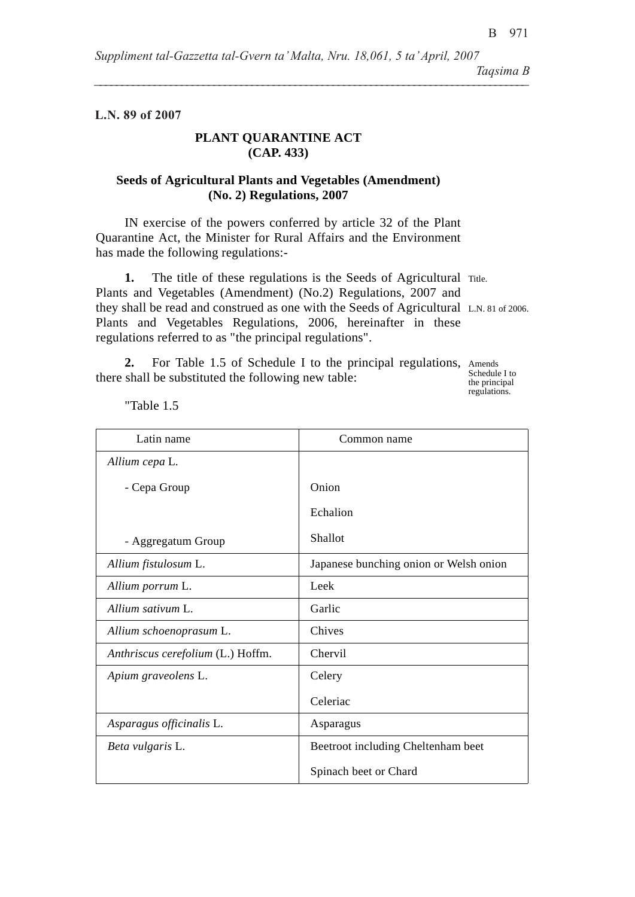**L.N. 89 of 2007**

## **PLANT QUARANTINE ACT (CAP. 433)**

## **Seeds of Agricultural Plants and Vegetables (Amendment) (No. 2) Regulations, 2007**

IN exercise of the powers conferred by article 32 of the Plant Quarantine Act, the Minister for Rural Affairs and the Environment has made the following regulations:-

1. The title of these regulations is the Seeds of Agricultural Title. they shall be read and construed as one with the Seeds of Agricultural L.N. 81 of 2006. Plants and Vegetables (Amendment) (No.2) Regulations, 2007 and Plants and Vegetables Regulations, 2006, hereinafter in these regulations referred to as "the principal regulations".

2. For Table 1.5 of Schedule I to the principal regulations, Amends there shall be substituted the following new table:

Schedule I to the principal regulations.

Latin name and common name *Allium cepa* L*.* - Cepa Group - Aggregatum Group Onion Echalion Shallot *Allium fistulosum L.* Japanese bunching onion or Welsh onion *Allium porrum L.* l Leek *Allium sativum L.* Garlic *Allium schoenoprasum* L. Chives *Anthriscus cerefolium (L.)* Hoffm. Chervil *Apium graveolens L.* Celery Celeriac *Asparagus officinalis* L. Asparagus *Beta vulgaris* L. **Beetroot including Cheltenham beet** Spinach beet or Chard

"Table 1.5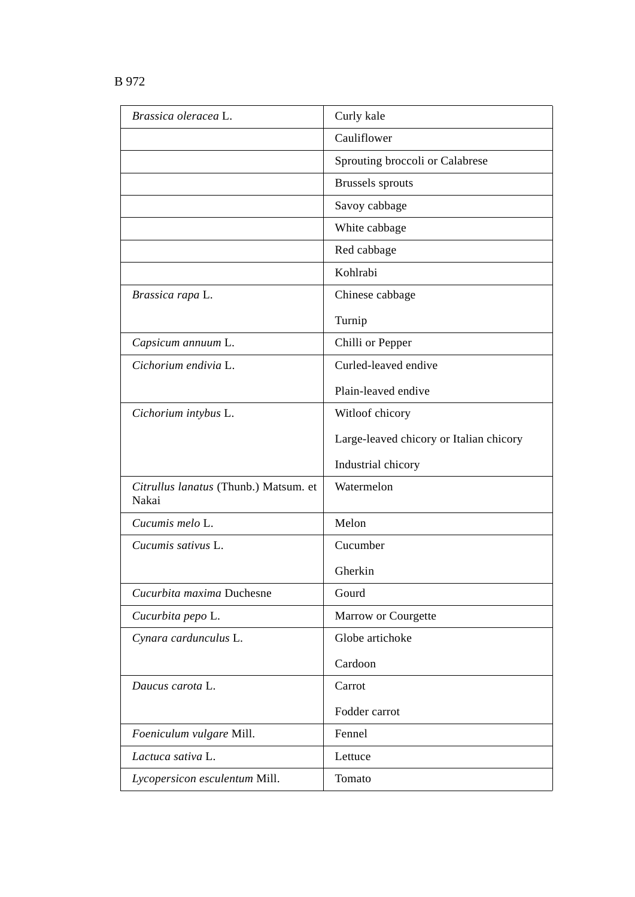|--|--|--|

| Brassica oleracea L.                           | Curly kale                              |
|------------------------------------------------|-----------------------------------------|
|                                                | Cauliflower                             |
|                                                | Sprouting broccoli or Calabrese         |
|                                                | <b>Brussels</b> sprouts                 |
|                                                | Savoy cabbage                           |
|                                                | White cabbage                           |
|                                                | Red cabbage                             |
|                                                | Kohlrabi                                |
| Brassica rapa L.                               | Chinese cabbage                         |
|                                                | Turnip                                  |
| Capsicum annuum L.                             | Chilli or Pepper                        |
| Cichorium endivia L.                           | Curled-leaved endive                    |
|                                                | Plain-leaved endive                     |
| Cichorium intybus L.                           | Witloof chicory                         |
|                                                | Large-leaved chicory or Italian chicory |
|                                                | Industrial chicory                      |
| Citrullus lanatus (Thunb.) Matsum. et<br>Nakai | Watermelon                              |
| Cucumis melo L.                                | Melon                                   |
| Cucumis sativus L.                             | Cucumber                                |
|                                                | Gherkin                                 |
| Cucurbita maxima Duchesne                      | Gourd                                   |
| Cucurbita pepo L.                              | Marrow or Courgette                     |
| Cynara cardunculus L.                          | Globe artichoke                         |
|                                                | Cardoon                                 |
| Daucus carota L.                               | Carrot                                  |
|                                                | Fodder carrot                           |
| Foeniculum vulgare Mill.                       | Fennel                                  |
| Lactuca sativa L.                              | Lettuce                                 |
| Lycopersicon esculentum Mill.                  | Tomato                                  |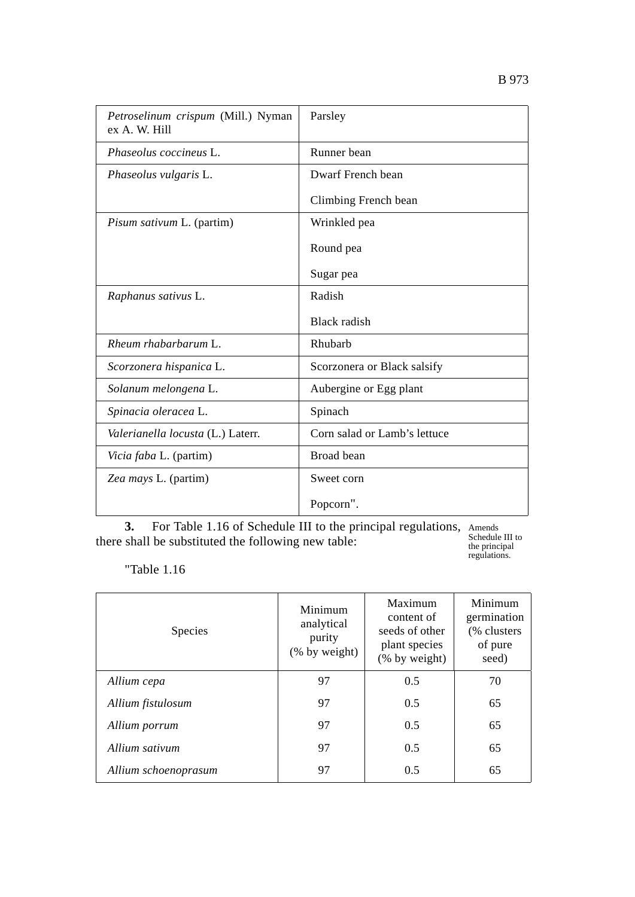| Petroselinum crispum (Mill.) Nyman<br>ex A. W. Hill | Parsley                      |
|-----------------------------------------------------|------------------------------|
| Phaseolus coccineus L.                              | Runner bean                  |
| Phaseolus vulgaris L.                               | Dwarf French bean            |
|                                                     | Climbing French bean         |
| Pisum sativum L. (partim)                           | Wrinkled pea                 |
|                                                     | Round pea                    |
|                                                     | Sugar pea                    |
| Raphanus sativus L.                                 | Radish                       |
|                                                     | <b>Black</b> radish          |
| Rheum rhabarbarum L.                                | Rhubarb                      |
| Scorzonera hispanica L.                             | Scorzonera or Black salsify  |
| Solanum melongena L.                                | Aubergine or Egg plant       |
| Spinacia oleracea L.                                | Spinach                      |
| Valerianella locusta (L.) Laterr.                   | Corn salad or Lamb's lettuce |
| Vicia faba L. (partim)                              | Broad bean                   |
| Zea mays L. (partim)                                | Sweet corn                   |
|                                                     | Popcorn".                    |

Amends **3.** For Table 1.16 of Schedule III to the principal regulations, there shall be substituted the following new table:

Schedule III to the principal regulations.

"Table 1.16

| <b>Species</b>       | Minimum<br>analytical<br>purity<br>(% by weight) | Maximum<br>content of<br>seeds of other<br>plant species<br>(% by weight) | Minimum<br>germination<br>(% clusters<br>of pure<br>seed) |
|----------------------|--------------------------------------------------|---------------------------------------------------------------------------|-----------------------------------------------------------|
| Allium cepa          | 97                                               | 0.5                                                                       | 70                                                        |
| Allium fistulosum    | 97                                               | 0.5                                                                       | 65                                                        |
| Allium porrum        | 97                                               | 0.5                                                                       | 65                                                        |
| Allium sativum       | 97                                               | 0.5                                                                       | 65                                                        |
| Allium schoenoprasum | 97                                               | 0.5                                                                       | 65                                                        |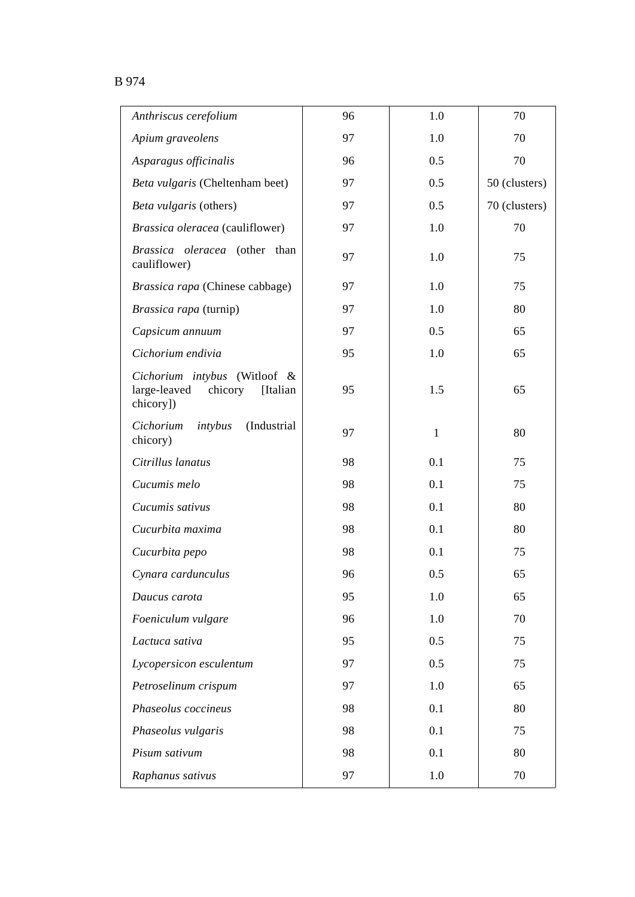## B 974

| Anthriscus cerefolium                                                            | 96 | 1.0          | 70            |
|----------------------------------------------------------------------------------|----|--------------|---------------|
| Apium graveolens                                                                 | 97 | 1.0          | 70            |
| Asparagus officinalis                                                            | 96 | 0.5          | 70            |
| Beta vulgaris (Cheltenham beet)                                                  | 97 | 0.5          | 50 (clusters) |
| Beta vulgaris (others)                                                           | 97 | 0.5          | 70 (clusters) |
| Brassica oleracea (cauliflower)                                                  | 97 | 1.0          | 70            |
| Brassica oleracea (other than<br>cauliflower)                                    | 97 | 1.0          | 75            |
| Brassica rapa (Chinese cabbage)                                                  | 97 | 1.0          | 75            |
| Brassica rapa (turnip)                                                           | 97 | 1.0          | 80            |
| Capsicum annuum                                                                  | 97 | 0.5          | 65            |
| Cichorium endivia                                                                | 95 | 1.0          | 65            |
| Cichorium intybus (Witloof &<br>large-leaved<br>chicory<br>[Italian<br>chicory]) | 95 | 1.5          | 65            |
| (Industrial<br>Cichorium<br>intybus<br>chicory)                                  | 97 | $\mathbf{1}$ | 80            |
| Citrillus lanatus                                                                | 98 | 0.1          | 75            |
| Cucumis melo                                                                     | 98 | 0.1          | 75            |
| Cucumis sativus                                                                  | 98 | 0.1          | 80            |
| Cucurbita maxima                                                                 | 98 | 0.1          | 80            |
| Cucurbita pepo                                                                   | 98 | 0.1          | 75            |
| Cynara cardunculus                                                               | 96 | 0.5          | 65            |
| Daucus carota                                                                    | 95 | 1.0          | 65            |
| Foeniculum vulgare                                                               | 96 | 1.0          | 70            |
| Lactuca sativa                                                                   | 95 | 0.5          | 75            |
| Lycopersicon esculentum                                                          | 97 | 0.5          | 75            |
| Petroselinum crispum                                                             | 97 | 1.0          | 65            |
| Phaseolus coccineus                                                              | 98 | 0.1          | 80            |
| Phaseolus vulgaris                                                               | 98 | 0.1          | 75            |
| Pisum sativum                                                                    | 98 | 0.1          | 80            |
| Raphanus sativus                                                                 | 97 | 1.0          | 70            |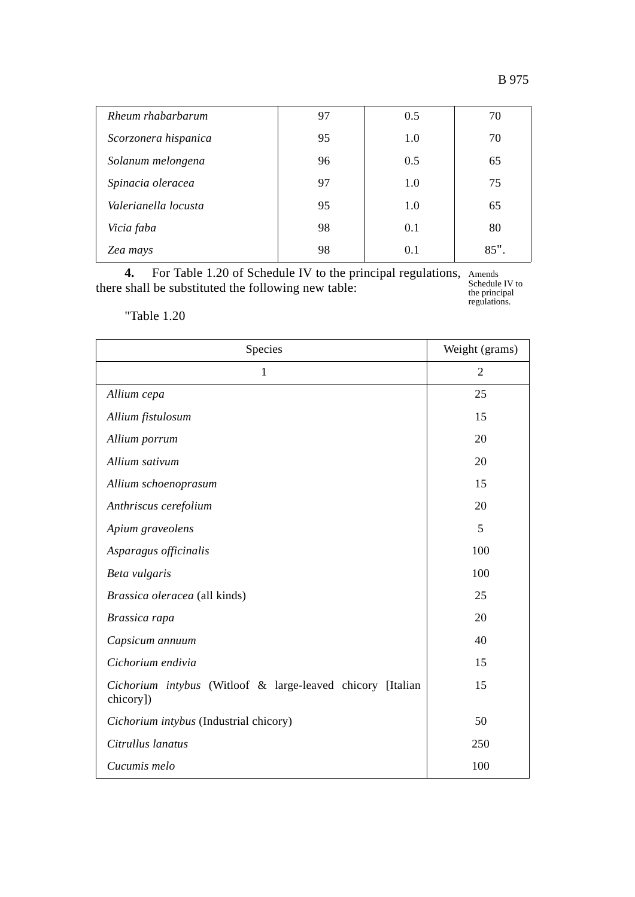|--|

| Rheum rhabarbarum    | 97 | 0.5 | 70   |
|----------------------|----|-----|------|
| Scorzonera hispanica | 95 | 1.0 | 70   |
| Solanum melongena    | 96 | 0.5 | 65   |
| Spinacia oleracea    | 97 | 1.0 | 75   |
| Valerianella locusta | 95 | 1.0 | 65   |
| Vicia faba           | 98 | 0.1 | 80   |
| Zea mays             | 98 | 0.1 | 85". |

**4.** For Table 1.20 of Schedule IV to the principal regulations, there shall be substituted the following new table:

Amends Schedule IV to the principal regulations.

"Table 1.20

| Species                                                                 | Weight (grams) |
|-------------------------------------------------------------------------|----------------|
| 1                                                                       | $\overline{2}$ |
| Allium cepa                                                             | 25             |
| Allium fistulosum                                                       | 15             |
| Allium porrum                                                           | 20             |
| Allium sativum                                                          | 20             |
| Allium schoenoprasum                                                    | 15             |
| Anthriscus cerefolium                                                   | 20             |
| Apium graveolens                                                        | 5              |
| Asparagus officinalis                                                   | 100            |
| Beta vulgaris                                                           | 100            |
| Brassica oleracea (all kinds)                                           | 25             |
| Brassica rapa                                                           | 20             |
| Capsicum annuum                                                         | 40             |
| Cichorium endivia                                                       | 15             |
| Cichorium intybus (Witloof & large-leaved chicory [Italian<br>chicory]) | 15             |
| Cichorium intybus (Industrial chicory)                                  | 50             |
| Citrullus lanatus                                                       | 250            |
| Cucumis melo                                                            | 100            |